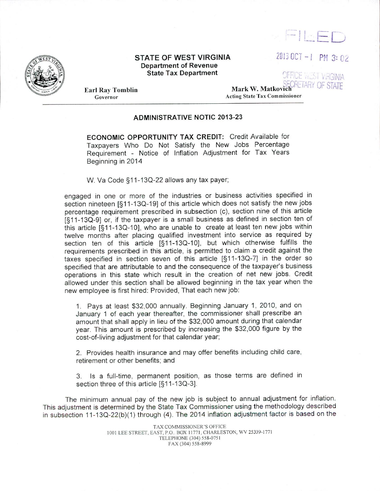

## STATE OF WEST VIRGINIA Department of Revenue State Tax Department

 $\begin{picture}(20,20) \put(0,0){\line(1,0){10}} \put(15,0){\line(1,0){10}} \put(15,0){\line(1,0){10}} \put(15,0){\line(1,0){10}} \put(15,0){\line(1,0){10}} \put(15,0){\line(1,0){10}} \put(15,0){\line(1,0){10}} \put(15,0){\line(1,0){10}} \put(15,0){\line(1,0){10}} \put(15,0){\line(1,0){10}} \put(15,0){\line(1,0){10}} \put(15,0){\line(1$ 

 $20130C$ T - I PM 3: 02

OFFICE WEST VIRGINIA

Earl Ray Tomblin Governor

# Mark W. Matkovich CRETARY OF STATE Acting State Tax Commissione<sup>r</sup>

## ADMINISTRATIVE NOTIC 2013-23

ECONOMIC OPPORTUNITY TAX CREDIT: Credit Available for Taxpayers Who Do Not Satisfy the New Jobs Percentage Requirement - Notice of Inflation Adjustment for Tax Years Beginning in 2014

W. Va Code § 11-130-22 allows any tax payer;

engaged in one or more of the industries or business activities specified in section nineteen [§ 11-130-19) of this article which does not satisfy the new jobs percentage requirement prescribed in subsection (c), section nine of this article [§11-13Q-9] or, if the taxpayer is a small business as defined in section ten of this article [§11-130-10], who are unable to create at least ten new jobs within twelve months after placing qualified investment into service as required by section ten of this article [§11 -130-10], but which otherwise fulfills the requirements prescribed in this article, is permitted to claim a credit against the taxes specified in section seven of this article [§ 11-130-7) in the order so specified that are attributable to and the consequence of the taxpayer's business operations in this state which result in the creation of net new jobs. Credit allowed under this section shall be allowed beginning in the tax year when the new employee is first hired: Provided, That each new job:

1. Pays at least \$32,000 annually. Beginning January 1, 2010, and on January 1 of each year thereafter, the commissioner shall prescribe an amount that shall apply in lieu of the \$32,000 amount during that calendar year. This amount is prescribed by increasing the \$32,000 figure by the cost-of-living adjustment for that calendar year;

2. Provides health insurance and may offer benefits including child care, retirement or other benefits; and

3. Is a full-time, permanent position, as those terms are defined in section three of this article [§11-13Q-3].

The minimum annual pay of the new job is subject to annual adjustment for inflation. This adjustment is determined by the State Tax Commissioner using the methodology described in subsection 11-13Q-22(b)(1) through (4). The 2014 inflation adjustment factor is based on the